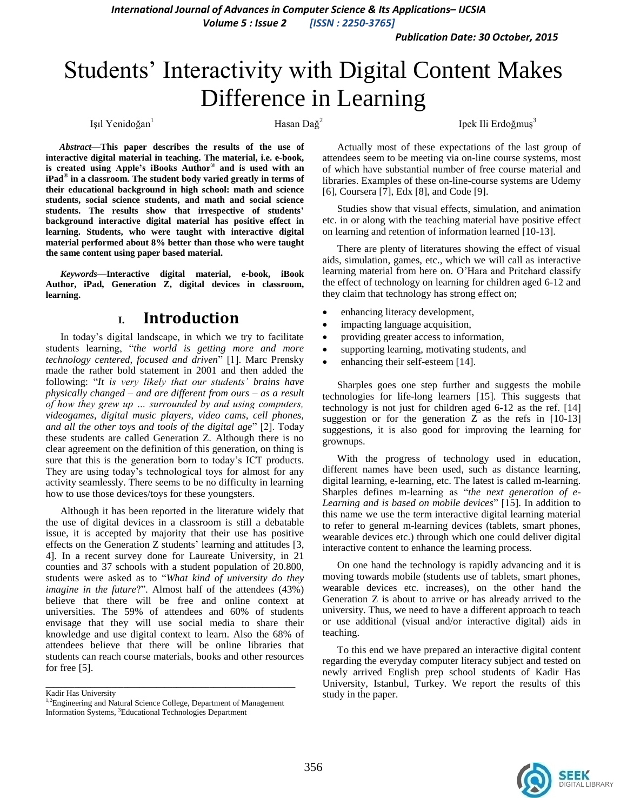*International Journal of Advances in Computer Science & Its Applications– IJCSIA*

*Volume 5 : Issue 2 [ISSN : 2250-3765]*

*Publication Date: 30 October, 2015*

# Students' Interactivity with Digital Content Makes Difference in Learning

Işıl Yenidoğan<sup>1</sup> Hasan Dağ<sup>2</sup>

Ipek Ili Erdoğmuş<sup>3</sup>

*Abstract***—This paper describes the results of the use of interactive digital material in teaching. The material, i.e. e-book, is created using Apple's iBooks Author® and is used with an iPad® in a classroom. The student body varied greatly in terms of their educational background in high school: math and science students, social science students, and math and social science students. The results show that irrespective of students' background interactive digital material has positive effect in learning. Students, who were taught with interactive digital material performed about 8% better than those who were taught the same content using paper based material.**

*Keywords—***Interactive digital material, e-book, iBook Author, iPad, Generation Z, digital devices in classroom, learning.**

# **I. Introduction**

In today's digital landscape, in which we try to facilitate students learning, "*the world is getting more and more technology centered, focused and driven*" [1]. Marc Prensky made the rather bold statement in 2001 and then added the following: "*It is very likely that our students' brains have physically changed – and are different from ours – as a result of how they grew up … surrounded by and using computers, videogames, digital music players, video cams, cell phones, and all the other toys and tools of the digital age*" [2]. Today these students are called Generation Z. Although there is no clear agreement on the definition of this generation, on thing is sure that this is the generation born to today's ICT products. They are using today's technological toys for almost for any activity seamlessly. There seems to be no difficulty in learning how to use those devices/toys for these youngsters.

Although it has been reported in the literature widely that the use of digital devices in a classroom is still a debatable issue, it is accepted by majority that their use has positive effects on the Generation Z students' learning and attitudes [3, 4]. In a recent survey done for Laureate University, in 21 counties and 37 schools with a student population of 20.800, students were asked as to "*What kind of university do they imagine in the future*?". Almost half of the attendees (43%) believe that there will be free and online context at universities. The 59% of attendees and 60% of students envisage that they will use social media to share their knowledge and use digital context to learn. Also the 68% of attendees believe that there will be online libraries that students can reach course materials, books and other resources for free [5].

Kadir Has University

\_\_\_\_\_\_\_\_\_\_\_\_\_\_\_\_\_\_\_\_\_\_\_\_\_\_\_\_\_\_\_\_\_\_\_\_\_\_\_\_\_\_\_\_\_\_\_\_\_\_\_\_\_\_\_\_\_\_\_\_\_

Actually most of these expectations of the last group of attendees seem to be meeting via on-line course systems, most of which have substantial number of free course material and libraries. Examples of these on-line-course systems are Udemy [6], Coursera [7], Edx [8], and Code [9].

Studies show that visual effects, simulation, and animation etc. in or along with the teaching material have positive effect on learning and retention of information learned [10-13].

There are plenty of literatures showing the effect of visual aids, simulation, games, etc., which we will call as interactive learning material from here on. O'Hara and Pritchard classify the effect of technology on learning for children aged 6-12 and they claim that technology has strong effect on;

- enhancing literacy development,
- impacting language acquisition,
- providing greater access to information,
- supporting learning, motivating students, and
- enhancing their self-esteem [14].

Sharples goes one step further and suggests the mobile technologies for life-long learners [15]. This suggests that technology is not just for children aged 6-12 as the ref. [14] suggestion or for the generation Z as the refs in [10-13] suggestions, it is also good for improving the learning for grownups.

With the progress of technology used in education, different names have been used, such as distance learning, digital learning, e-learning, etc. The latest is called m-learning. Sharples defines m-learning as "*the next generation of e-Learning and is based on mobile devices*" [15]. In addition to this name we use the term interactive digital learning material to refer to general m-learning devices (tablets, smart phones, wearable devices etc.) through which one could deliver digital interactive content to enhance the learning process.

On one hand the technology is rapidly advancing and it is moving towards mobile (students use of tablets, smart phones, wearable devices etc. increases), on the other hand the Generation Z is about to arrive or has already arrived to the university. Thus, we need to have a different approach to teach or use additional (visual and/or interactive digital) aids in teaching.

To this end we have prepared an interactive digital content regarding the everyday computer literacy subject and tested on newly arrived English prep school students of Kadir Has University, Istanbul, Turkey. We report the results of this study in the paper.



<sup>&</sup>lt;sup>1,2</sup>Engineering and Natural Science College, Department of Management Information Systems, <sup>3</sup>Educational Technologies Department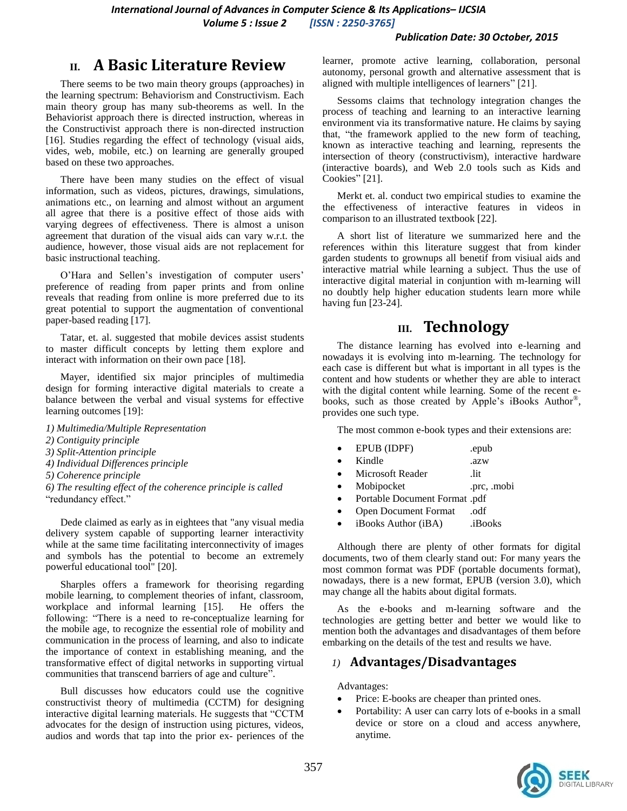## **II. A Basic Literature Review**

There seems to be two main theory groups (approaches) in the learning spectrum: Behaviorism and Constructivism. Each main theory group has many sub-theorems as well. In the Behaviorist approach there is directed instruction, whereas in the Constructivist approach there is non-directed instruction [16]. Studies regarding the effect of technology (visual aids, vides, web, mobile, etc.) on learning are generally grouped based on these two approaches.

There have been many studies on the effect of visual information, such as videos, pictures, drawings, simulations, animations etc., on learning and almost without an argument all agree that there is a positive effect of those aids with varying degrees of effectiveness. There is almost a unison agreement that duration of the visual aids can vary w.r.t. the audience, however, those visual aids are not replacement for basic instructional teaching.

O'Hara and Sellen's investigation of computer users' preference of reading from paper prints and from online reveals that reading from online is more preferred due to its great potential to support the augmentation of conventional paper-based reading [17].

Tatar, et. al. suggested that mobile devices assist students to master difficult concepts by letting them explore and interact with information on their own pace [18].

Mayer, identified six major principles of multimedia design for forming interactive digital materials to create a balance between the verbal and visual systems for effective learning outcomes [19]:

- *1) Multimedia/Multiple Representation*
- *2) Contiguity principle*
- *3) Split-Attention principle*
- *4) Individual Differences principle*
- *5) Coherence principle*
- *6) The resulting effect of the coherence principle is called*

"redundancy effect."

Dede claimed as early as in eightees that "any visual media delivery system capable of supporting learner interactivity while at the same time facilitating interconnectivity of images and symbols has the potential to become an extremely powerful educational tool" [20].

Sharples offers a framework for theorising regarding mobile learning, to complement theories of infant, classroom, workplace and informal learning [15]. He offers the following: "There is a need to re-conceptualize learning for the mobile age, to recognize the essential role of mobility and communication in the process of learning, and also to indicate the importance of context in establishing meaning, and the transformative effect of digital networks in supporting virtual communities that transcend barriers of age and culture".

Bull discusses how educators could use the cognitive constructivist theory of multimedia (CCTM) for designing interactive digital learning materials. He suggests that "CCTM advocates for the design of instruction using pictures, videos, audios and words that tap into the prior ex- periences of the

learner, promote active learning, collaboration, personal autonomy, personal growth and alternative assessment that is aligned with multiple intelligences of learners" [21].

Sessoms claims that technology integration changes the process of teaching and learning to an interactive learning environment via its transformative nature. He claims by saying that, "the framework applied to the new form of teaching, known as interactive teaching and learning, represents the intersection of theory (constructivism), interactive hardware (interactive boards), and Web 2.0 tools such as Kids and Cookies" [21].

Merkt et. al. conduct two empirical studies to examine the the effectiveness of interactive features in videos in comparison to an illustrated textbook [22].

A short list of literature we summarized here and the references within this literature suggest that from kinder garden students to grownups all benetif from visiual aids and interactive matrial while learning a subject. Thus the use of interactive digital material in conjuntion with m-learning will no doubtly help higher education students learn more while having fun [23-24].

## **III. Technology**

The distance learning has evolved into e-learning and nowadays it is evolving into m-learning. The technology for each case is different but what is important in all types is the content and how students or whether they are able to interact with the digital content while learning. Some of the recent ebooks, such as those created by Apple's iBooks Author® , provides one such type.

The most common e-book types and their extensions are:

|  | EPUB (IDPF) | .epub |
|--|-------------|-------|
|--|-------------|-------|

- Kindle .azw
- Microsoft Reader ... lit
- Mobipocket .prc, .mobi
- Portable Document Format .pdf
- Open Document Format .odf
- iBooks Author (iBA) .iBooks

Although there are plenty of other formats for digital documents, two of them clearly stand out: For many years the most common format was PDF (portable documents format), nowadays, there is a new format, EPUB (version 3.0), which may change all the habits about digital formats.

As the e-books and m-learning software and the technologies are getting better and better we would like to mention both the advantages and disadvantages of them before embarking on the details of the test and results we have.

#### *1)* **Advantages/Disadvantages**

Advantages:

- Price: E-books are cheaper than printed ones.
- Portability: A user can carry lots of e-books in a small device or store on a cloud and access anywhere, anytime.

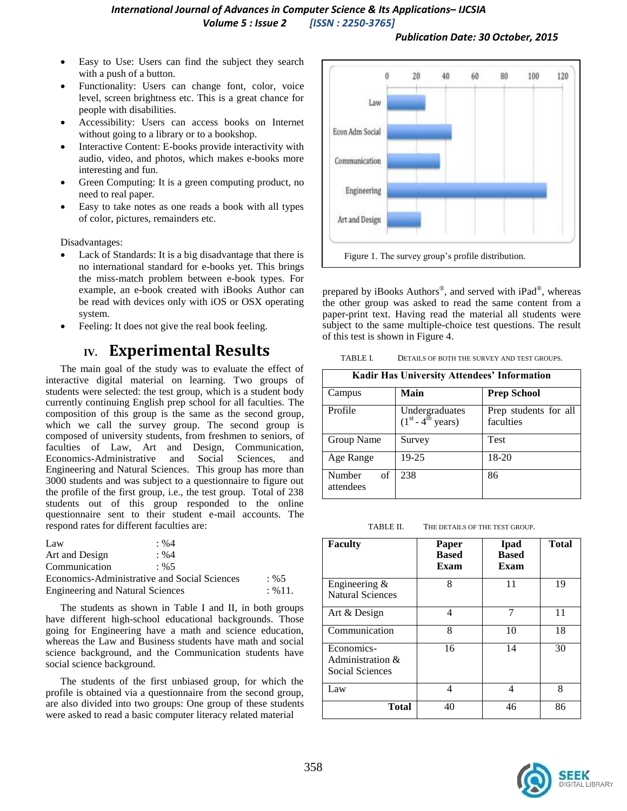- Easy to Use: Users can find the subject they search with a push of a button.
- Functionality: Users can change font, color, voice level, screen brightness etc. This is a great chance for people with disabilities.
- Accessibility: Users can access books on Internet without going to a library or to a bookshop.
- Interactive Content: E-books provide interactivity with audio, video, and photos, which makes e-books more interesting and fun.
- Green Computing: It is a green computing product, no need to real paper.
- Easy to take notes as one reads a book with all types of color, pictures, remainders etc.

Disadvantages:

- Lack of Standards: It is a big disadvantage that there is no international standard for e-books yet. This brings the miss-match problem between e-book types. For example, an e-book created with iBooks Author can be read with devices only with iOS or OSX operating system.
- Feeling: It does not give the real book feeling.

# **IV. Experimental Results**

The main goal of the study was to evaluate the effect of interactive digital material on learning. Two groups of students were selected: the test group, which is a student body currently continuing English prep school for all faculties. The composition of this group is the same as the second group, which we call the survey group. The second group is composed of university students, from freshmen to seniors, of faculties of Law, Art and Design, Communication, Economics-Administrative and Social Sciences, and Engineering and Natural Sciences. This group has more than 3000 students and was subject to a questionnaire to figure out the profile of the first group, i.e., the test group. Total of 238 students out of this group responded to the online questionnaire sent to their student e-mail accounts. The respond rates for different faculties are:

| Law                                     | $\cdot$ %4                                   |         |
|-----------------------------------------|----------------------------------------------|---------|
| Art and Design                          | $: \%4$                                      |         |
| Communication                           | $: \%5$                                      |         |
|                                         | Economics-Administrative and Social Sciences | $: \%5$ |
| <b>Engineering and Natural Sciences</b> | $: \% 11.$                                   |         |

The students as shown in Table I and II, in both groups have different high-school educational backgrounds. Those going for Engineering have a math and science education, whereas the Law and Business students have math and social science background, and the Communication students have social science background.

The students of the first unbiased group, for which the profile is obtained via a questionnaire from the second group, are also divided into two groups: One group of these students were asked to read a basic computer literacy related material



prepared by iBooks Authors<sup>®</sup>, and served with iPad<sup>®</sup>, whereas the other group was asked to read the same content from a paper-print text. Having read the material all students were subject to the same multiple-choice test questions. The result of this test is shown in Figure 4.

TABLE I. DETAILS OF BOTH THE SURVEY AND TEST GROUPS.

| <b>Kadir Has University Attendees' Information</b> |                                       |                                    |  |  |  |
|----------------------------------------------------|---------------------------------------|------------------------------------|--|--|--|
| Campus                                             | Main                                  | <b>Prep School</b>                 |  |  |  |
| Profile                                            | Undergraduates<br>$(1st - 4th years)$ | Prep students for all<br>faculties |  |  |  |
| Group Name                                         | Survey                                | <b>Test</b>                        |  |  |  |
| Age Range                                          | 19-25                                 | 18-20                              |  |  |  |
| Number<br>of<br>attendees                          | 238                                   | 86                                 |  |  |  |

TABLE II. THE DETAILS OF THE TEST GROUP.

| <b>Faculty</b>                                       | Paper<br><b>Based</b><br>Exam | <b>I</b> pad<br><b>Based</b><br>Exam | <b>Total</b> |
|------------------------------------------------------|-------------------------------|--------------------------------------|--------------|
| Engineering $&$<br><b>Natural Sciences</b>           | 8                             | 11                                   | 19           |
| Art & Design                                         | 4                             | 7                                    | 11           |
| Communication                                        | 8                             | 10                                   | 18           |
| Economics-<br>Administration $\&$<br>Social Sciences | 16                            | 14                                   | 30           |
| Law                                                  | 4                             | 4                                    | 8            |
| <b>Total</b>                                         | 40                            | 46                                   | 86           |

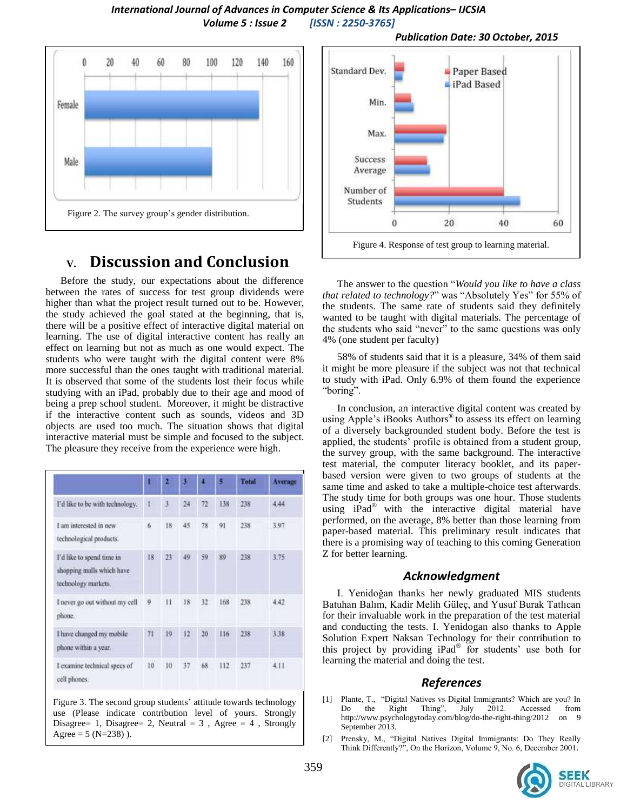

# **V. Discussion and Conclusion**

Before the study, our expectations about the difference between the rates of success for test group dividends were higher than what the project result turned out to be. However, the study achieved the goal stated at the beginning, that is, there will be a positive effect of interactive digital material on learning. The use of digital interactive content has really an effect on learning but not as much as one would expect. The students who were taught with the digital content were 8% more successful than the ones taught with traditional material. It is observed that some of the students lost their focus while studying with an iPad, probably due to their age and mood of being a prep school student. Moreover, it might be distractive if the interactive content such as sounds, videos and 3D objects are used too much. The situation shows that digital interactive material must be simple and focused to the subject. The pleasure they receive from the experience were high.

|                                                                               | ı  |     | s  |    |     | Total         | Average |
|-------------------------------------------------------------------------------|----|-----|----|----|-----|---------------|---------|
| I'd like to be with technology.                                               |    | 3   | 24 | 72 | 138 | 238           | 4.44    |
| I am interested in new<br>technological products.                             | 6  | 18  | 45 | 78 | 91  | 238           | 3.97    |
| I'd like to spend time in<br>shopping malls which have<br>technology markets. | 18 | 23. | 49 | 59 | 89  | 238           | 3.75    |
| I never go out without my cell<br>phone.                                      | 9  | 11. | 18 | 32 | 168 | 238           | 4.42    |
| I have changed my mobile<br>phone within a year.                              | 71 | 19  | 12 | 20 | 116 | 238           | 3.38    |
| I examine technical specs of<br>cell phones.                                  | 10 | 10  | 37 | 68 | 112 | COVET.<br>237 | 4.11    |

Figure 3. The second group students' attitude towards technology use (Please indicate contribution level of yours. Strongly Disagree= 1, Disagree= 2, Neutral =  $3$ , Agree =  $4$ , Strongly Agree =  $5 (N=238)$ .



The answer to the question "*Would you like to have a class that related to technology?*" was "Absolutely Yes" for 55% of the students. The same rate of students said they definitely wanted to be taught with digital materials. The percentage of the students who said "never" to the same questions was only 4% (one student per faculty)

58% of students said that it is a pleasure, 34% of them said it might be more pleasure if the subject was not that technical to study with iPad. Only 6.9% of them found the experience "boring".

In conclusion, an interactive digital content was created by using Apple's iBooks Authors<sup>®</sup> to assess its effect on learning of a diversely backgrounded student body. Before the test is applied, the students' profile is obtained from a student group, the survey group, with the same background. The interactive test material, the computer literacy booklet, and its paperbased version were given to two groups of students at the same time and asked to take a multiple-choice test afterwards. The study time for both groups was one hour. Those students using iPad<sup>®</sup> with the interactive digital material have performed, on the average, 8% better than those learning from paper-based material. This preliminary result indicates that there is a promising way of teaching to this coming Generation Z for better learning.

#### *Acknowledgment*

I. Yenidoğan thanks her newly graduated MIS students Batuhan Balım, Kadir Melih Güleç, and Yusuf Burak Tatlıcan for their invaluable work in the preparation of the test material and conducting the tests. I. Yenidogan also thanks to Apple Solution Expert Naksan Technology for their contribution to this project by providing iPad® for students' use both for learning the material and doing the test.

#### *References*

- [1] Plante, T., "Digital Natives vs Digital Immigrants? Which are you? In Do the Right Thing", July  $2012$ . Accessed http://www.psychologytoday.com/blog/do-the-right-thing/2012 on 9 September 2013.
- [2] Prensky, M., "Digital Natives Digital Immigrants: Do They Really Think Differently?", On the Horizon, Volume 9, No. 6, December 2001.